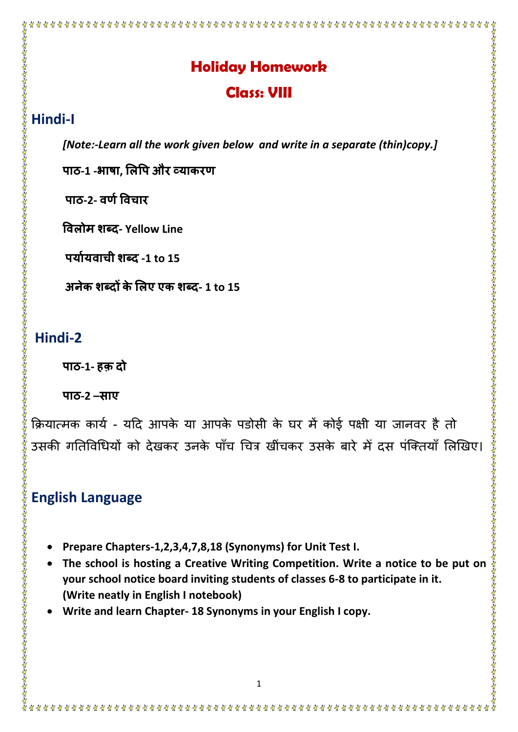### **Holiday Homework**

\*\*\*\*\*\*\*\*\*\*\*\*\*\*\*\*\*\*\*\*\*\*\*\*\*\*\*\*\*\*

#### **Class: VIII**

#### **Hindi-I**

*[Note:-Learn all the work given below and write in a separate (thin)copy.]*

**पाठ-1 -भाषा, लिपप और व्याकरण**

**पाठ-2- वणणपवचार**

**पविोम शब्द- Yellow Line**

**पयाणयवाची शब्द -1 to 15**

**अनेक शब्दों केलिए एक शब्द- 1 to 15** 

#### **Hindi-2**

**पाठ-1- हक़ दो**

**पाठ-2 –साए**

क्रियात्मक कार्य - यदि आपके या आपके पडोसी के घर में कोई पक्षी या जानवर है तो उसकी गतिविधियों को देखकर उनके पाँच चित्र खींचकर उसके बारे मेँ दस पंक्तियाँ लिखिए।

## **English Language**

- **Prepare Chapters-1,2,3,4,7,8,18 (Synonyms) for Unit Test I.**
- • **The school is hosting a Creative Writing Competition. Write a notice to be put on your school notice board inviting students of classes 6-8 to participate in it. (Write neatly in English I notebook)**
- **Write and learn Chapter- 18 Synonyms in your English I copy.**

横备备备备备备备备备备备备备备备备备备备备备备备备备备备备备备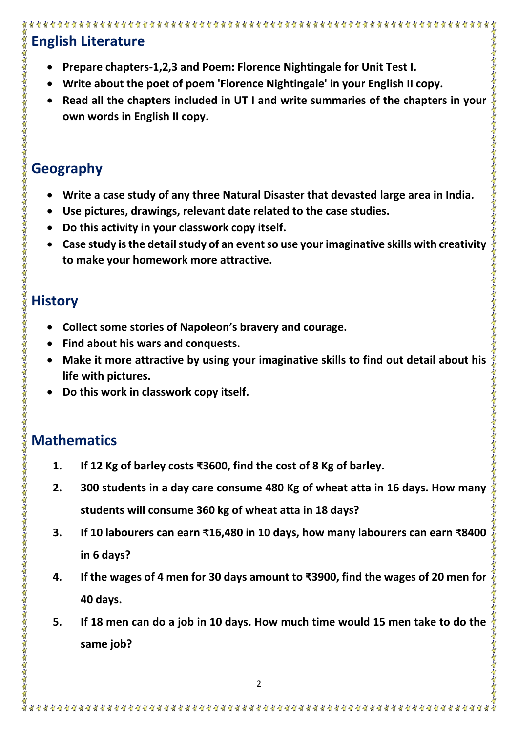# **English Literature**

- **Prepare chapters-1,2,3 and Poem: Florence Nightingale for Unit Test I.**
- **Write about the poet of poem 'Florence Nightingale' in your English II copy.**
- **Read all the chapters included in UT I and write summaries of the chapters in your**  智智智智智智智智智智智智智智智智 **own words in English II copy.**

# **Geography**

- **Write a case study of any three Natural Disaster that devasted large area in India.**
- **Use pictures, drawings, relevant date related to the case studies.**
- **Do this activity in your classwork copy itself.**
- **Case study is the detail study of an event so use your imaginative skills with creativity to make your homework more attractive.**

# **History**

- **Collect some stories of Napoleon's bravery and courage.**
- **Find about his wars and conquests.**
- **Make it more attractive by using your imaginative skills to find out detail about his life with pictures.**

智智智智智智智智智智智智智智

• **Do this work in classwork copy itself.** 

# **Mathematics**

- **1. If 12 Kg of barley costs ₹3600, find the cost of 8 Kg of barley.**
- **2. 300 students in a day care consume 480 Kg of wheat atta in 16 days. How many students will consume 360 kg of wheat atta in 18 days?**
- **3. If 10 labourers can earn ₹16,480 in 10 days, how many labourers can earn ₹8400 in 6 days?**
- **4. If the wages of 4 men for 30 days amount to ₹3900, find the wages of 20 men for 40 days.**
- **5. If 18 men can do a job in 10 days. How much time would 15 men take to do the same job?**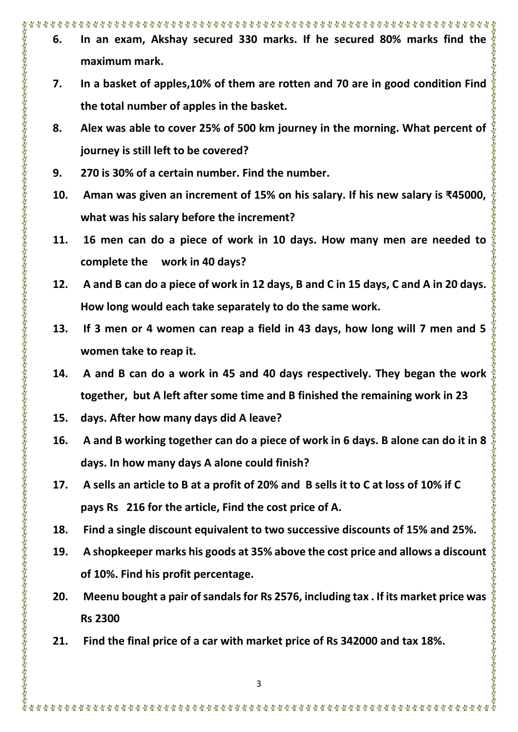- **6. In an exam, Akshay secured 330 marks. If he secured 80% marks find the maximum mark.**
- **7. In a basket of apples,10% of them are rotten and 70 are in good condition Find the total number of apples in the basket.**
- **8. Alex was able to cover 25% of 500 km journey in the morning. What percent of journey is still left to be covered?**
- **9. 270 is 30% of a certain number. Find the number.**
- **10. Aman was given an increment of 15% on his salary. If his new salary is ₹45000, what was his salary before the increment?**
- **11. 16 men can do a piece of work in 10 days. How many men are needed to complete the work in 40 days?**
- **12. A and B can do a piece of work in 12 days, B and C in 15 days, C and A in 20 days. How long would each take separately to do the same work.**
- **13. If 3 men or 4 women can reap a field in 43 days, how long will 7 men and 5 women take to reap it.**
- **14. A and B can do a work in 45 and 40 days respectively. They began the work together, but A left after some time and B finished the remaining work in 23**
- **15. days. After how many days did A leave?**
- **16.** A and B working together can do a piece of work in 6 days. B alone can do it in 8  $\frac{2}{3}$ <br>days. In how many days A alone could finish?<br>17. A sells an article to B at a profit of 20% and B sells it to C at loss of 1 **days. In how many days A alone could finish?**
- **17. A sells an article to B at a profit of 20% and B sells it to C at loss of 10% if C pays Rs 216 for the article, Find the cost price of A.**
- **18. Find a single discount equivalent to two successive discounts of 15% and 25%.**
- **19. A shopkeeper marks his goods at 35% above the cost price and allows a discount of 10%. Find his profit percentage.**

智智智

贸易资金贸易贸易贸易贸易资

- **20. Meenu bought a pair of sandals for Rs 2576, including tax . If its market price was Rs 2300**
- **21. Find the final price of a car with market price of Rs 342000 and tax 18%.**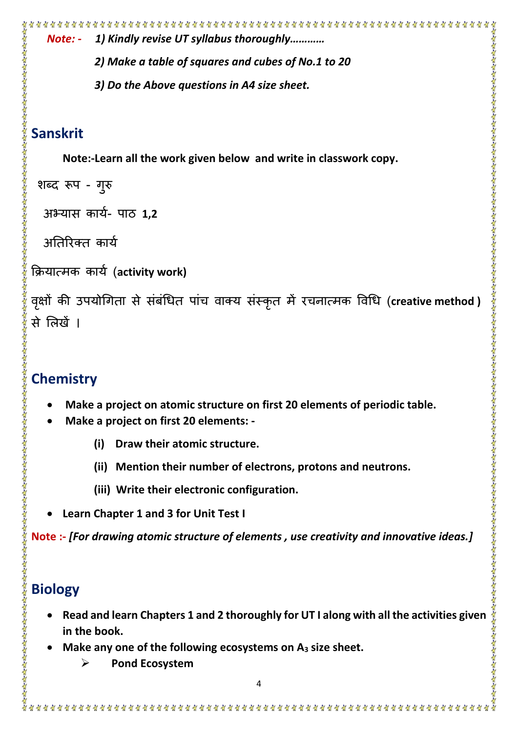```
Note: - 1) Kindly revise UT syllabus thoroughly…………
                                                                                     2) Make a table of squares and cubes of No.1 to 20 
            3) Do the Above questions in A4 size sheet.
     Note:-Learn all the work given below and write in classwork copy. 
 शब्द रूप - गुरु
  अभ्यास कार्य- पाठ 1,2
  अतिरिक्त कार्य
क्रियात्मक कायय (activity work)
वृक्षों की उपयोगिता से सर्बाधेत पाच वाक्य सस्कृत में रचनात्मक विधि (creative method )
Chemistry
      • Make a project on atomic structure on first 20 elements of periodic table.
      • Make a project on first 20 elements: -
           (i) Draw their atomic structure.
           (ii) Mention their number of electrons, protons and neutrons.
           (iii) Write their electronic configuration. 
     • Learn Chapter 1 and 3 for Unit Test I
Note :- [For drawing atomic structure of elements , use creativity and innovative ideas.]
   • Read and learn Chapters 1 and 2 thoroughly for UT I along with all the activities given 
                                                                                    智智智智智智智智智
     in the book.
    • Make any one of the following ecosystems on A3 size sheet.
         ➢ Pond Ecosystem
```
**Sanskrit**

से लिखें ।

**Biology**